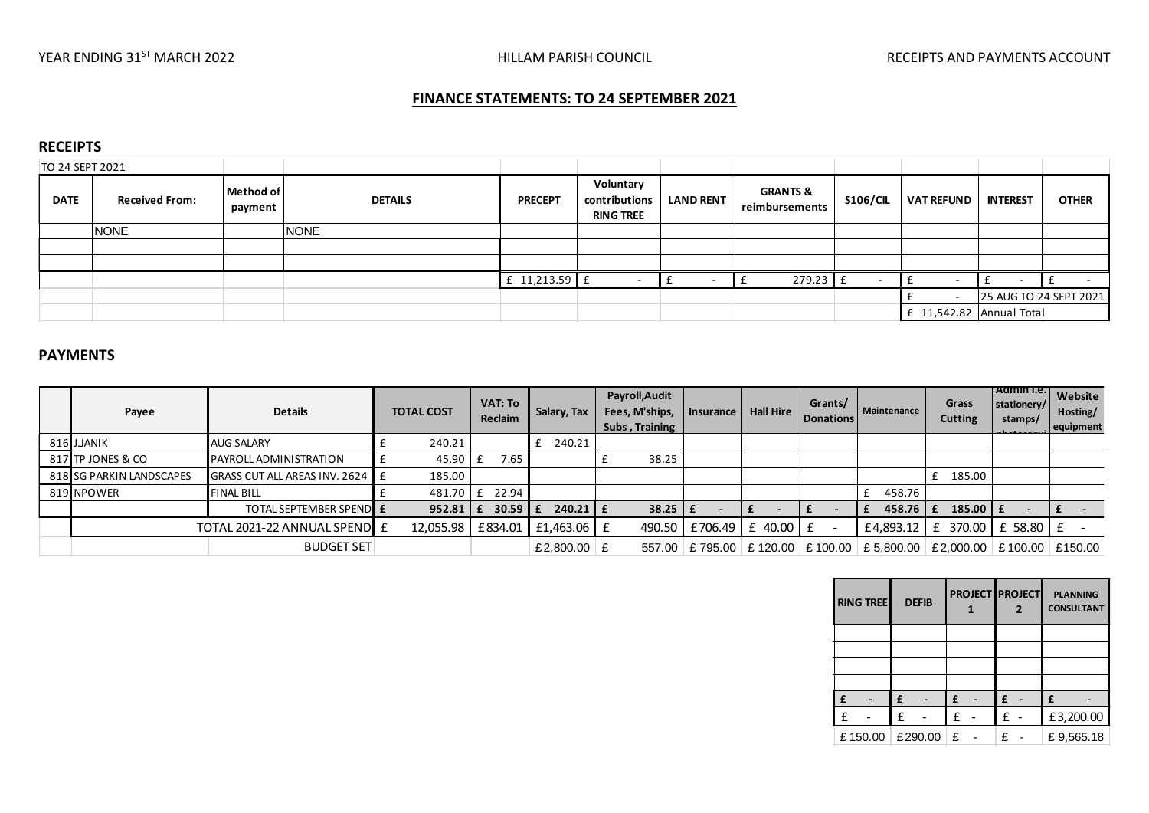## **FINANCE STATEMENTS: TO 24 SEPTEMBER 2021**

## **RECEIPTS**

| TO 24 SEPT 2021 |                       |                      |                |                   |                                                |                  |                                       |                 |                            |                 |                        |
|-----------------|-----------------------|----------------------|----------------|-------------------|------------------------------------------------|------------------|---------------------------------------|-----------------|----------------------------|-----------------|------------------------|
| <b>DATE</b>     | <b>Received From:</b> | Method of<br>payment | <b>DETAILS</b> | <b>PRECEPT</b>    | Voluntary<br>contributions<br><b>RING TREE</b> | <b>LAND RENT</b> | <b>GRANTS &amp;</b><br>reimbursements | <b>S106/CIL</b> | <b>VAT REFUND</b>          | <b>INTEREST</b> | <b>OTHER</b>           |
|                 | <b>NONE</b>           |                      | <b>NONE</b>    |                   |                                                |                  |                                       |                 |                            |                 |                        |
|                 |                       |                      |                |                   |                                                |                  |                                       |                 |                            |                 |                        |
|                 |                       |                      |                |                   |                                                |                  |                                       |                 |                            |                 |                        |
|                 |                       |                      |                | $f$ 11,213.59 $f$ |                                                |                  | $279.23$ £                            |                 |                            |                 |                        |
|                 |                       |                      |                |                   |                                                |                  |                                       |                 |                            |                 | 25 AUG TO 24 SEPT 2021 |
|                 |                       |                      |                |                   |                                                |                  |                                       |                 | $E$ 11,542.82 Annual Total |                 |                        |

## **PAYMENTS**

| Payee                    | <b>Details</b>                    | <b>TOTAL COST</b>  | <b>VAT: To</b><br><b>Reclaim</b>                                          | Salary, Tax   | Payroll, Audit<br>Fees, M'ships,   Insurance  <br>Subs, Training |         | <b>Hall Hire</b>                  | Grants/<br>Donations | Maintenance                          | Grass<br><b>Cutting</b> | TAdmin I.e.<br>stationery/<br>stamps/ | Website<br>Hosting/<br>equipment |
|--------------------------|-----------------------------------|--------------------|---------------------------------------------------------------------------|---------------|------------------------------------------------------------------|---------|-----------------------------------|----------------------|--------------------------------------|-------------------------|---------------------------------------|----------------------------------|
| 816 J.JANIK              | <b>AUG SALARY</b>                 | 240.21             |                                                                           | 240.21        |                                                                  |         |                                   |                      |                                      |                         |                                       |                                  |
| 817 TP JONES & CO        | <b>PAYROLL ADMINISTRATION</b>     | $45.90 \text{ }$ £ | 7.65                                                                      |               | 38.25                                                            |         |                                   |                      |                                      |                         |                                       |                                  |
| 818 SG PARKIN LANDSCAPES | GRASS CUT ALL AREAS INV. 2624   £ | 185.00             |                                                                           |               |                                                                  |         |                                   |                      |                                      | 185.00                  |                                       |                                  |
| 819 NPOWER               | <b>FINAL BILL</b>                 |                    | 481.70 £ 22.94                                                            |               |                                                                  |         |                                   |                      | 458.76                               |                         |                                       |                                  |
|                          | TOTAL SEPTEMBER SPENDEE           | 952.81 $E$         | $\begin{array}{c c c c c} \hline \text{.} & 30.59 & \text{t} \end{array}$ | $240.21$ $E$  | $38.25$ $E$                                                      |         |                                   |                      | $458.76$ $E$                         | $185.00$   f            |                                       |                                  |
|                          | TOTAL 2021-22 ANNUAL SPEND E      | 12,055.98 £834.01  |                                                                           | £1,463.06 £   | 490.50                                                           | E706.49 | $40.00$ E                         |                      | £4,893.12 $E$                        | 370.00                  | £ 58.80 E                             |                                  |
|                          | <b>BUDGET SET</b>                 |                    |                                                                           | £2,800.00 $E$ | 557.00                                                           | £795.00 | $\vert$ £ 120.00 $\vert$ £ 100.00 |                      | $E$ 5,800.00 $E$ 2,000.00 $E$ 100.00 |                         |                                       | $\pm 150.00$                     |

| PLANNING<br><b>CONSULTANT</b> | <b>PROJECT PROJECT</b> | <b>DEFIB</b> | <b>RING TREE</b>                            |
|-------------------------------|------------------------|--------------|---------------------------------------------|
|                               |                        |              |                                             |
|                               |                        |              |                                             |
|                               |                        |              |                                             |
|                               |                        |              |                                             |
|                               |                        |              |                                             |
| £3,200.00                     | <u>_</u>               |              |                                             |
| £9,565.18                     | $F -$<br>∼             |              | $\vert$ £150.00 $\vert$ £290.00 $\vert$ £ - |